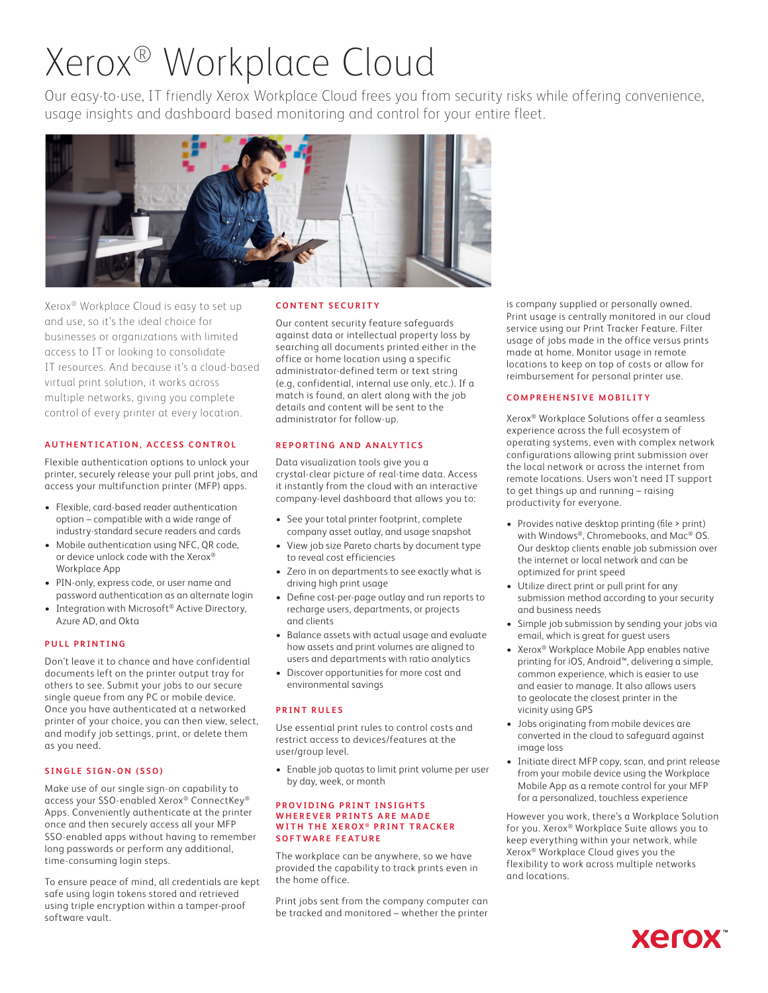# Xerox® Workplace Cloud

Our easy-to-use, IT friendly Xerox Workplace Cloud frees you from security risks while offering convenience, usage insights and dashboard based monitoring and control for your entire fleet.



Xerox® Workplace Cloud is easy to set up and use, so it's the ideal choice for businesses or organizations with limited access to IT or looking to consolidate IT resources. And because it's a cloud-based virtual print solution, it works across multiple networks, giving you complete control of every printer at every location.

#### **AUTHENTICATION, ACCESS CONTROL**

Flexible authentication options to unlock your printer, securely release your pull print jobs, and access your multifunction printer (MFP) apps.

- Flexible, card-based reader authentication option – compatible with a wide range of industry-standard secure readers and cards
- Mobile authentication using NFC, QR code, or device unlock code with the Xerox® Workplace App
- PIN-only, express code, or user name and password authentication as an alternate login
- Integration with Microsoft<sup>®</sup> Active Directory, Azure AD, and Okta

#### **PULL PRINTING**

Don't leave it to chance and have confidential documents left on the printer output tray for others to see. Submit your jobs to our secure single queue from any PC or mobile device. Once you have authenticated at a networked printer of your choice, you can then view, select, and modify job settings, print, or delete them as you need.

#### **SINGLE SIGN-ON (SSO)**

Make use of our single sign-on capability to access your SSO-enabled Xerox® ConnectKey® Apps. Conveniently authenticate at the printer once and then securely access all your MFP SSO-enabled apps without having to remember long passwords or perform any additional, time-consuming login steps.

To ensure peace of mind, all credentials are kept safe using login tokens stored and retrieved using triple encryption within a tamper-proof software vault.

#### **CONTENT SECURITY**

Our content security feature safeguards against data or intellectual property loss by searching all documents printed either in the office or home location using a specific administrator-defined term or text string (e.g, confidential, internal use only, etc.). If a match is found, an alert along with the job details and content will be sent to the administrator for follow-up.

#### **REPORTING AND ANALYTICS**

Data visualization tools give you a crystal-clear picture of real-time data. Access it instantly from the cloud with an interactive company-level dashboard that allows you to:

- See your total printer footprint, complete company asset outlay, and usage snapshot
- View job size Pareto charts by document type to reveal cost efficiencies
- Zero in on departments to see exactly what is driving high print usage
- Define cost-per-page outlay and run reports to recharge users, departments, or projects and clients
- Balance assets with actual usage and evaluate how assets and print volumes are aligned to users and departments with ratio analytics
- Discover opportunities for more cost and environmental savings

#### **PRINT RULES**

Use essential print rules to control costs and restrict access to devices/features at the user/group level.

• Enable job quotas to limit print volume per user by day, week, or month

#### **PROVIDING PRINT INSIGHTS WHEREVER PRINTS ARE MADE WITH THE XEROX® PRINT TRACKER SOFTWARE FEATURE**

The workplace can be anywhere, so we have provided the capability to track prints even in the home office.

Print jobs sent from the company computer can be tracked and monitored – whether the printer is company supplied or personally owned. Print usage is centrally monitored in our cloud service using our Print Tracker Feature. Filter usage of jobs made in the office versus prints made at home. Monitor usage in remote locations to keep on top of costs or allow for reimbursement for personal printer use.

#### **COMPREHENSIV E MOBILITY**

Xerox® Workplace Solutions offer a seamless experience across the full ecosystem of operating systems, even with complex network configurations allowing print submission over the local network or across the internet from remote locations. Users won't need IT support to get things up and running – raising productivity for everyone.

- Provides native desktop printing (file > print) with Windows®, Chromebooks, and Mac® OS. Our desktop clients enable job submission over the internet or local network and can be optimized for print speed
- Utilize direct print or pull print for any submission method according to your security and business needs
- Simple job submission by sending your jobs via email, which is great for guest users
- Xerox® Workplace Mobile App enables native printing for iOS, Android™, delivering a simple, common experience, which is easier to use and easier to manage. It also allows users to geolocate the closest printer in the vicinity using GPS
- Jobs originating from mobile devices are converted in the cloud to safeguard against image loss
- Initiate direct MFP copy, scan, and print release from your mobile device using the Workplace Mobile App as a remote control for your MFP for a personalized, touchless experience

However you work, there's a Workplace Solution for you. Xerox® Workplace Suite allows you to keep everything within your network, while Xerox® Workplace Cloud gives you the flexibility to work across multiple networks and locations.